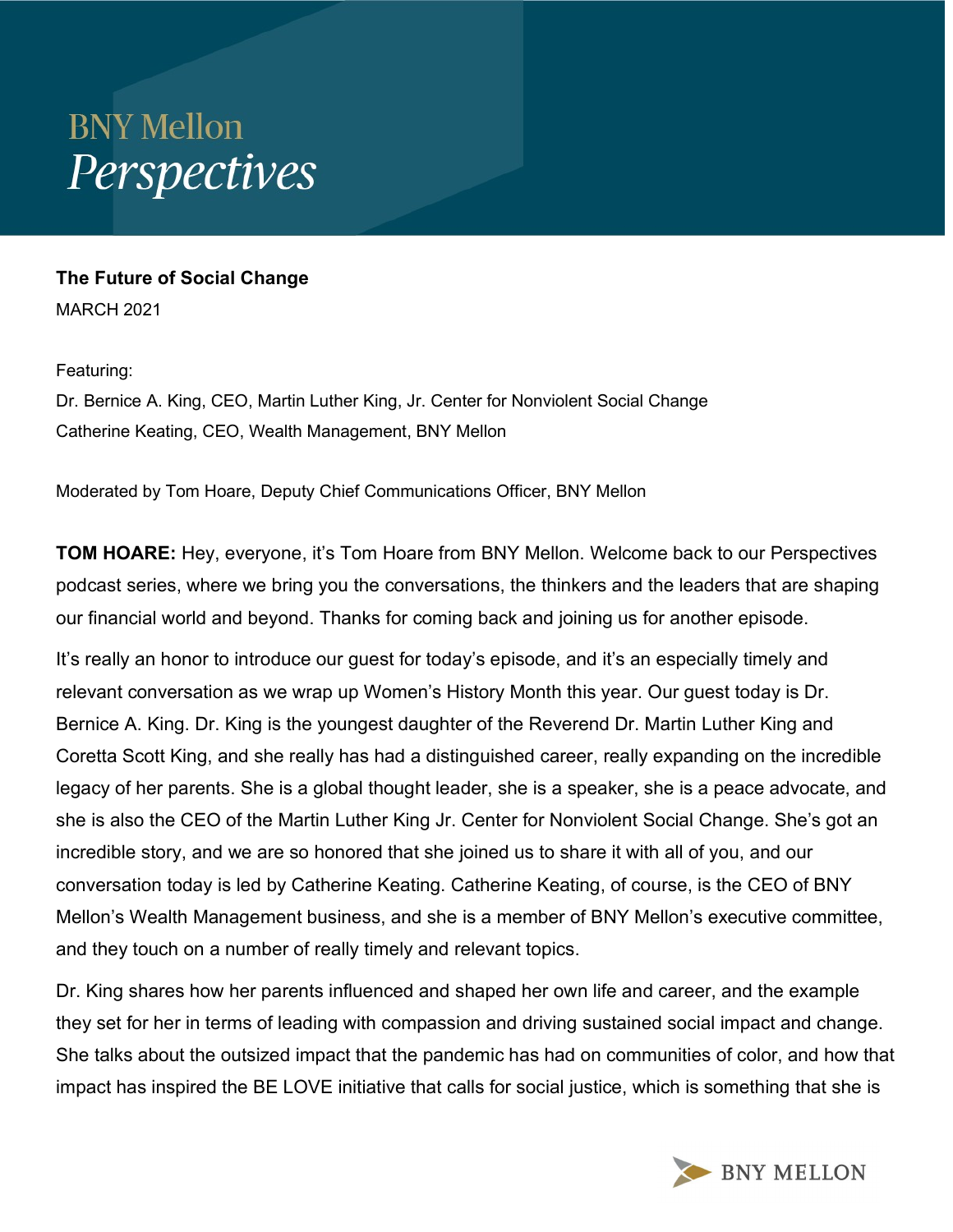## **BNY Mellon** Perspectives

## The Future of Social Change

MARCH 2021

Featuring:

Dr. Bernice A. King, CEO, Martin Luther King, Jr. Center for Nonviolent Social Change Catherine Keating, CEO, Wealth Management, BNY Mellon

Moderated by Tom Hoare, Deputy Chief Communications Officer, BNY Mellon

**TOM HOARE:** Hey, everyone, it's Tom Hoare from BNY Mellon. Welcome back to our Perspectives podcast series, where we bring you the conversations, the thinkers and the leaders that are shaping our financial world and beyond. Thanks for coming back and joining us for another episode.

It's really an honor to introduce our guest for today's episode, and it's an especially timely and relevant conversation as we wrap up Women's History Month this year. Our guest today is Dr. Bernice A. King. Dr. King is the youngest daughter of the Reverend Dr. Martin Luther King and Coretta Scott King, and she really has had a distinguished career, really expanding on the incredible legacy of her parents. She is a global thought leader, she is a speaker, she is a peace advocate, and she is also the CEO of the Martin Luther King Jr. Center for Nonviolent Social Change. She's got an incredible story, and we are so honored that she joined us to share it with all of you, and our conversation today is led by Catherine Keating. Catherine Keating, of course, is the CEO of BNY Mellon's Wealth Management business, and she is a member of BNY Mellon's executive committee, and they touch on a number of really timely and relevant topics.

Dr. King shares how her parents influenced and shaped her own life and career, and the example they set for her in terms of leading with compassion and driving sustained social impact and change. She talks about the outsized impact that the pandemic has had on communities of color, and how that impact has inspired the BE LOVE initiative that calls for social justice, which is something that she is

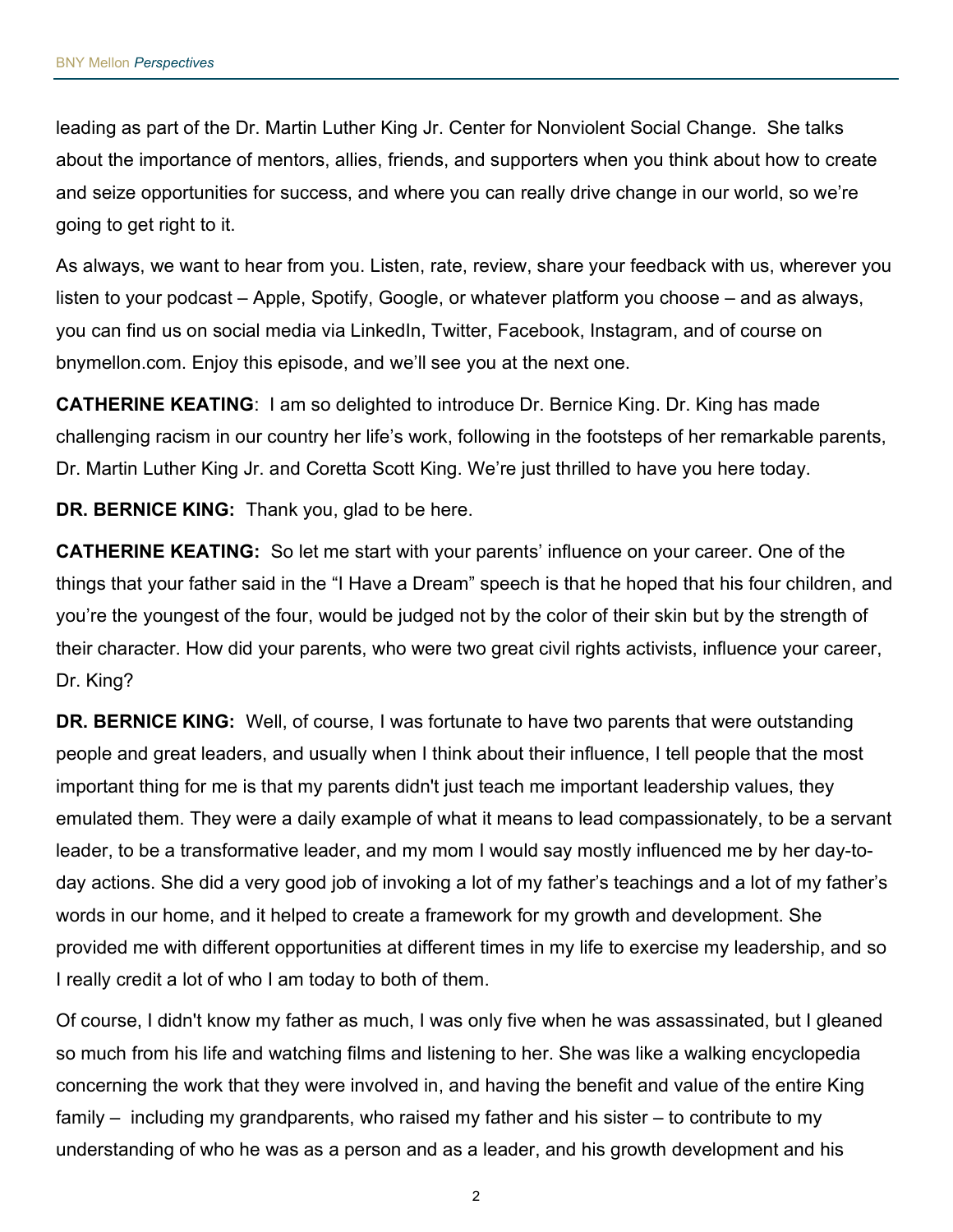leading as part of the Dr. Martin Luther King Jr. Center for Nonviolent Social Change. She talks about the importance of mentors, allies, friends, and supporters when you think about how to create and seize opportunities for success, and where you can really drive change in our world, so we're going to get right to it.

As always, we want to hear from you. Listen, rate, review, share your feedback with us, wherever you listen to your podcast – Apple, Spotify, Google, or whatever platform you choose – and as always, you can find us on social media via LinkedIn, Twitter, Facebook, Instagram, and of course on bnymellon.com. Enjoy this episode, and we'll see you at the next one.

**CATHERINE KEATING:** I am so delighted to introduce Dr. Bernice King. Dr. King has made challenging racism in our country her life's work, following in the footsteps of her remarkable parents, Dr. Martin Luther King Jr. and Coretta Scott King. We're just thrilled to have you here today.

DR. BERNICE KING: Thank you, glad to be here.

CATHERINE KEATING: So let me start with your parents' influence on your career. One of the things that your father said in the "I Have a Dream" speech is that he hoped that his four children, and you're the youngest of the four, would be judged not by the color of their skin but by the strength of their character. How did your parents, who were two great civil rights activists, influence your career, Dr. King?

DR. BERNICE KING: Well, of course, I was fortunate to have two parents that were outstanding people and great leaders, and usually when I think about their influence, I tell people that the most important thing for me is that my parents didn't just teach me important leadership values, they emulated them. They were a daily example of what it means to lead compassionately, to be a servant leader, to be a transformative leader, and my mom I would say mostly influenced me by her day-today actions. She did a very good job of invoking a lot of my father's teachings and a lot of my father's words in our home, and it helped to create a framework for my growth and development. She provided me with different opportunities at different times in my life to exercise my leadership, and so I really credit a lot of who I am today to both of them.

Of course, I didn't know my father as much, I was only five when he was assassinated, but I gleaned so much from his life and watching films and listening to her. She was like a walking encyclopedia concerning the work that they were involved in, and having the benefit and value of the entire King family – including my grandparents, who raised my father and his sister – to contribute to my understanding of who he was as a person and as a leader, and his growth development and his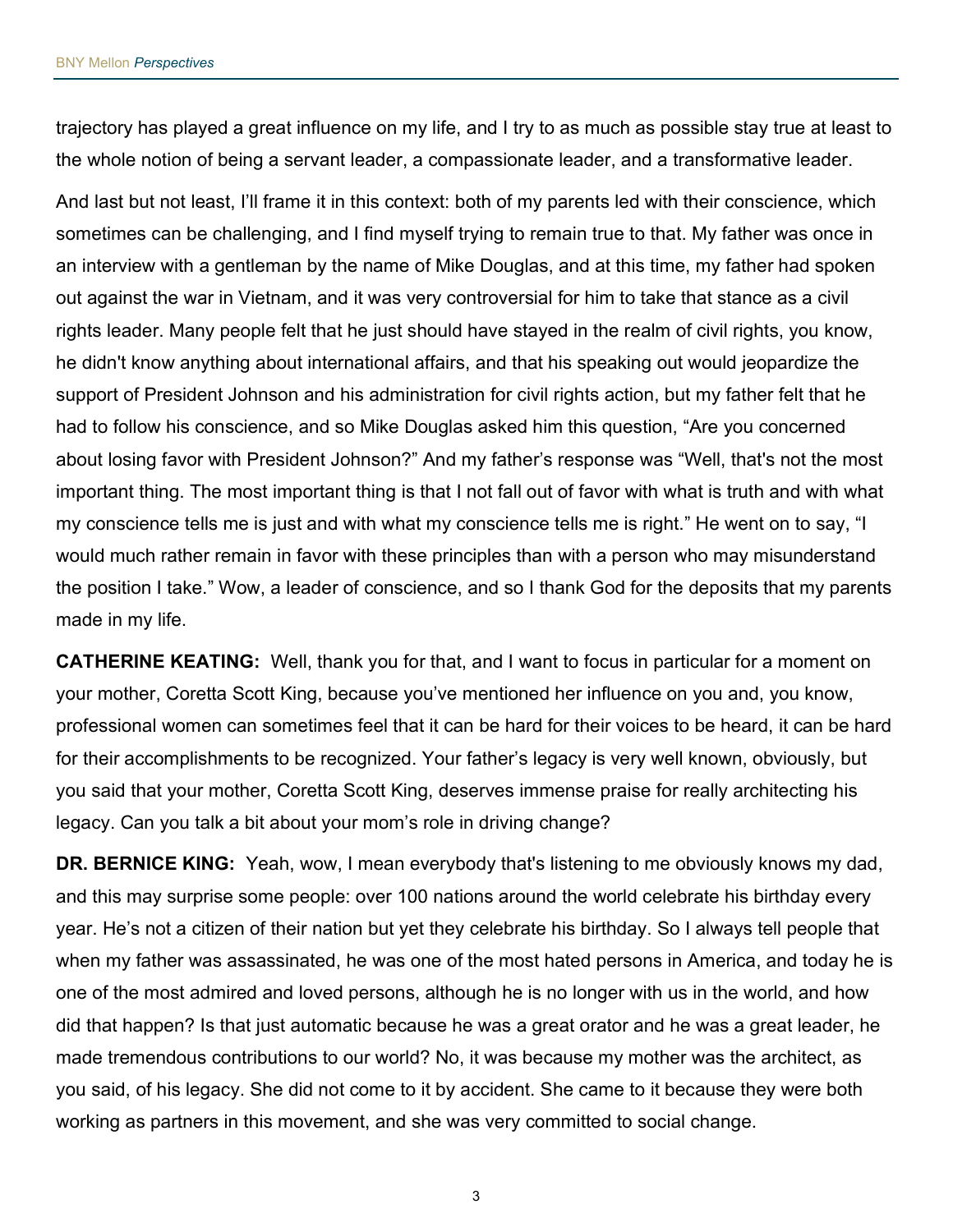trajectory has played a great influence on my life, and I try to as much as possible stay true at least to the whole notion of being a servant leader, a compassionate leader, and a transformative leader.

And last but not least, I'll frame it in this context: both of my parents led with their conscience, which sometimes can be challenging, and I find myself trying to remain true to that. My father was once in an interview with a gentleman by the name of Mike Douglas, and at this time, my father had spoken out against the war in Vietnam, and it was very controversial for him to take that stance as a civil rights leader. Many people felt that he just should have stayed in the realm of civil rights, you know, he didn't know anything about international affairs, and that his speaking out would jeopardize the support of President Johnson and his administration for civil rights action, but my father felt that he had to follow his conscience, and so Mike Douglas asked him this question, "Are you concerned about losing favor with President Johnson?" And my father's response was "Well, that's not the most important thing. The most important thing is that I not fall out of favor with what is truth and with what my conscience tells me is just and with what my conscience tells me is right." He went on to say, "I would much rather remain in favor with these principles than with a person who may misunderstand the position I take." Wow, a leader of conscience, and so I thank God for the deposits that my parents made in my life.

**CATHERINE KEATING:** Well, thank you for that, and I want to focus in particular for a moment on your mother, Coretta Scott King, because you've mentioned her influence on you and, you know, professional women can sometimes feel that it can be hard for their voices to be heard, it can be hard for their accomplishments to be recognized. Your father's legacy is very well known, obviously, but you said that your mother, Coretta Scott King, deserves immense praise for really architecting his legacy. Can you talk a bit about your mom's role in driving change?

DR. BERNICE KING: Yeah, wow, I mean everybody that's listening to me obviously knows my dad, and this may surprise some people: over 100 nations around the world celebrate his birthday every year. He's not a citizen of their nation but yet they celebrate his birthday. So I always tell people that when my father was assassinated, he was one of the most hated persons in America, and today he is one of the most admired and loved persons, although he is no longer with us in the world, and how did that happen? Is that just automatic because he was a great orator and he was a great leader, he made tremendous contributions to our world? No, it was because my mother was the architect, as you said, of his legacy. She did not come to it by accident. She came to it because they were both working as partners in this movement, and she was very committed to social change.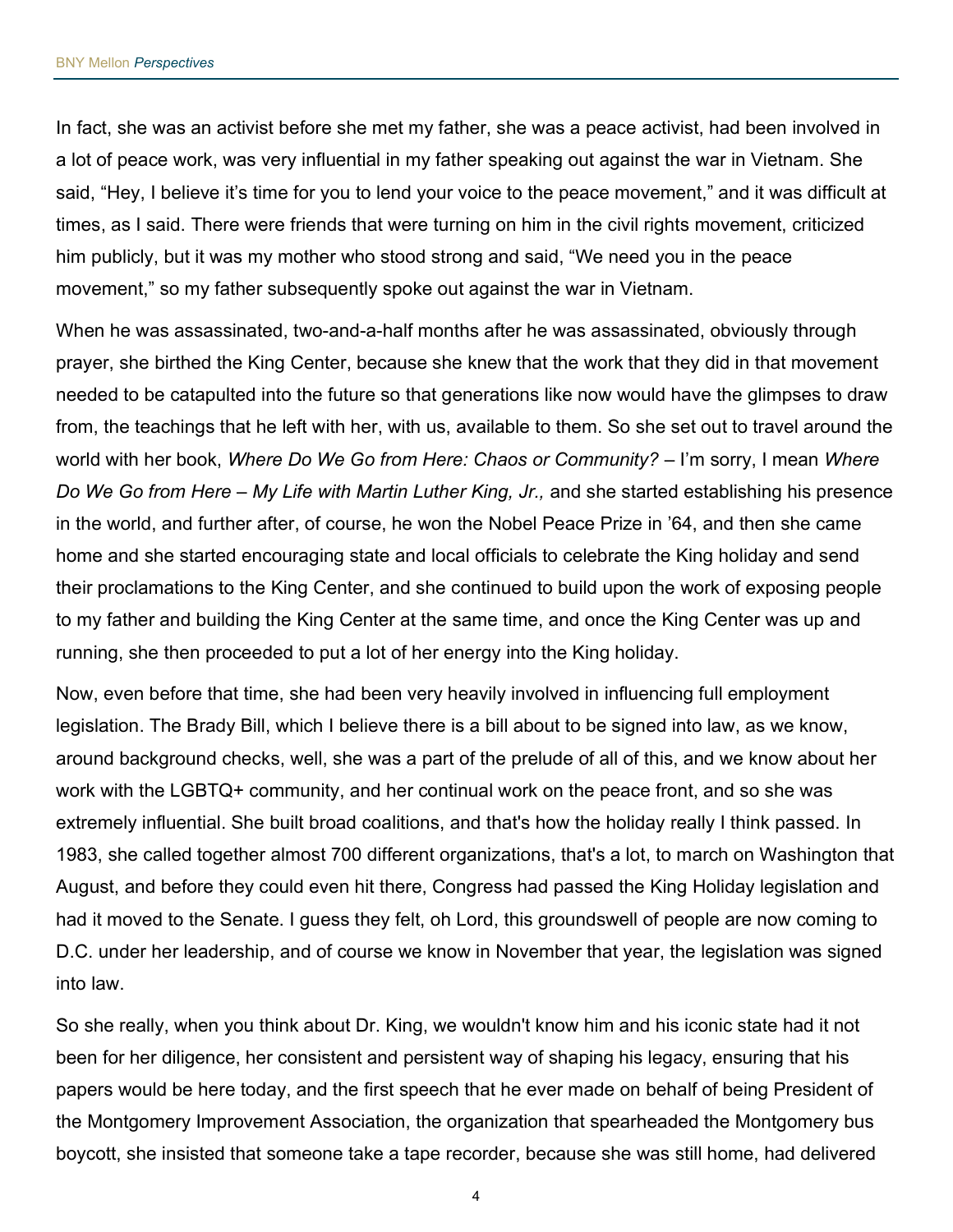In fact, she was an activist before she met my father, she was a peace activist, had been involved in a lot of peace work, was very influential in my father speaking out against the war in Vietnam. She said, "Hey, I believe it's time for you to lend your voice to the peace movement," and it was difficult at times, as I said. There were friends that were turning on him in the civil rights movement, criticized him publicly, but it was my mother who stood strong and said, "We need you in the peace movement," so my father subsequently spoke out against the war in Vietnam.

When he was assassinated, two-and-a-half months after he was assassinated, obviously through prayer, she birthed the King Center, because she knew that the work that they did in that movement needed to be catapulted into the future so that generations like now would have the glimpses to draw from, the teachings that he left with her, with us, available to them. So she set out to travel around the world with her book, Where Do We Go from Here: Chaos or Community? – I'm sorry, I mean Where Do We Go from Here – My Life with Martin Luther King, Jr., and she started establishing his presence in the world, and further after, of course, he won the Nobel Peace Prize in '64, and then she came home and she started encouraging state and local officials to celebrate the King holiday and send their proclamations to the King Center, and she continued to build upon the work of exposing people to my father and building the King Center at the same time, and once the King Center was up and running, she then proceeded to put a lot of her energy into the King holiday.

Now, even before that time, she had been very heavily involved in influencing full employment legislation. The Brady Bill, which I believe there is a bill about to be signed into law, as we know, around background checks, well, she was a part of the prelude of all of this, and we know about her work with the LGBTQ+ community, and her continual work on the peace front, and so she was extremely influential. She built broad coalitions, and that's how the holiday really I think passed. In 1983, she called together almost 700 different organizations, that's a lot, to march on Washington that August, and before they could even hit there, Congress had passed the King Holiday legislation and had it moved to the Senate. I guess they felt, oh Lord, this groundswell of people are now coming to D.C. under her leadership, and of course we know in November that year, the legislation was signed into law.

So she really, when you think about Dr. King, we wouldn't know him and his iconic state had it not been for her diligence, her consistent and persistent way of shaping his legacy, ensuring that his papers would be here today, and the first speech that he ever made on behalf of being President of the Montgomery Improvement Association, the organization that spearheaded the Montgomery bus boycott, she insisted that someone take a tape recorder, because she was still home, had delivered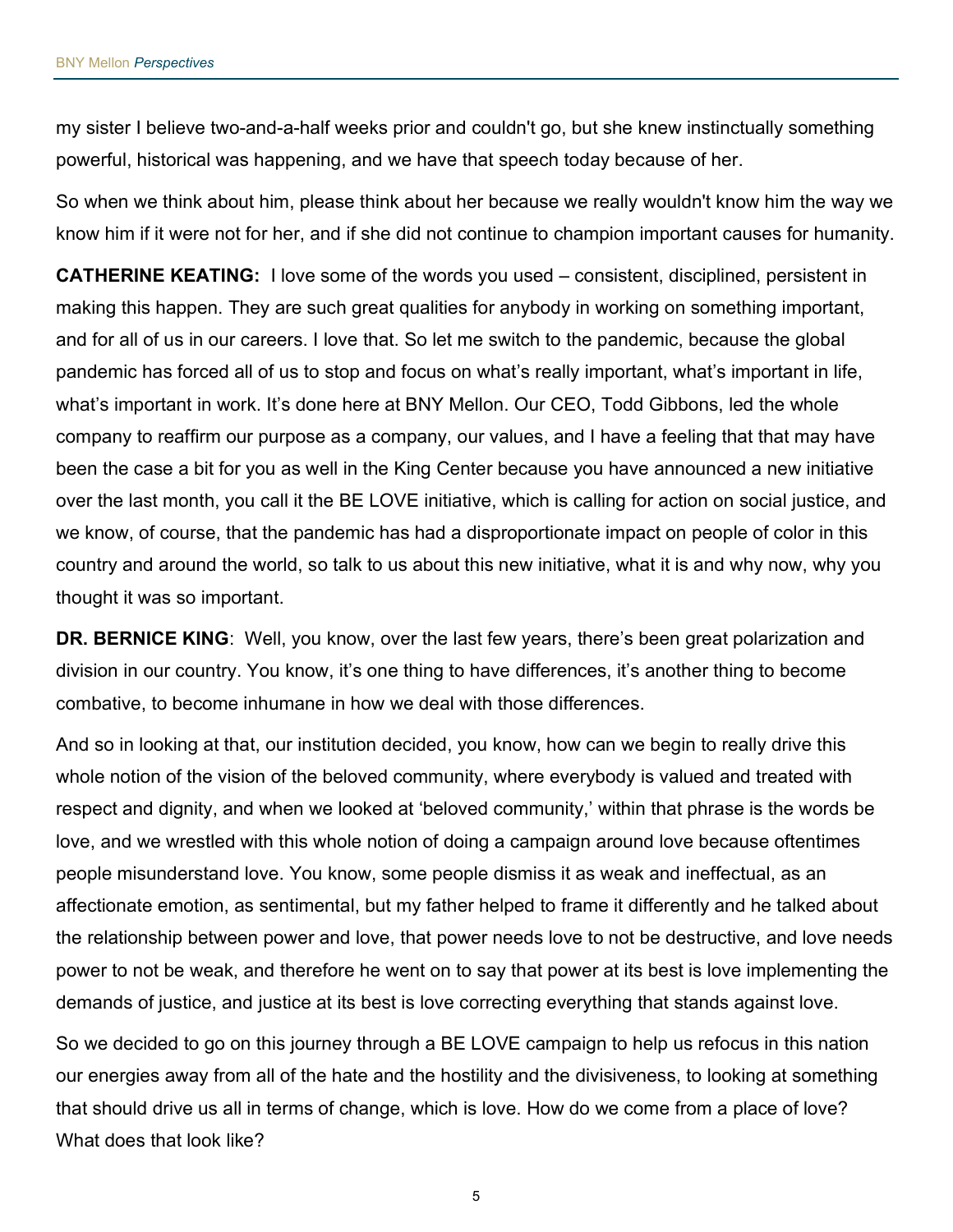my sister I believe two-and-a-half weeks prior and couldn't go, but she knew instinctually something powerful, historical was happening, and we have that speech today because of her.

So when we think about him, please think about her because we really wouldn't know him the way we know him if it were not for her, and if she did not continue to champion important causes for humanity.

**CATHERINE KEATING:** I love some of the words you used – consistent, disciplined, persistent in making this happen. They are such great qualities for anybody in working on something important, and for all of us in our careers. I love that. So let me switch to the pandemic, because the global pandemic has forced all of us to stop and focus on what's really important, what's important in life, what's important in work. It's done here at BNY Mellon. Our CEO, Todd Gibbons, led the whole company to reaffirm our purpose as a company, our values, and I have a feeling that that may have been the case a bit for you as well in the King Center because you have announced a new initiative over the last month, you call it the BE LOVE initiative, which is calling for action on social justice, and we know, of course, that the pandemic has had a disproportionate impact on people of color in this country and around the world, so talk to us about this new initiative, what it is and why now, why you thought it was so important.

DR. BERNICE KING: Well, you know, over the last few years, there's been great polarization and division in our country. You know, it's one thing to have differences, it's another thing to become combative, to become inhumane in how we deal with those differences.

And so in looking at that, our institution decided, you know, how can we begin to really drive this whole notion of the vision of the beloved community, where everybody is valued and treated with respect and dignity, and when we looked at 'beloved community,' within that phrase is the words be love, and we wrestled with this whole notion of doing a campaign around love because oftentimes people misunderstand love. You know, some people dismiss it as weak and ineffectual, as an affectionate emotion, as sentimental, but my father helped to frame it differently and he talked about the relationship between power and love, that power needs love to not be destructive, and love needs power to not be weak, and therefore he went on to say that power at its best is love implementing the demands of justice, and justice at its best is love correcting everything that stands against love.

So we decided to go on this journey through a BE LOVE campaign to help us refocus in this nation our energies away from all of the hate and the hostility and the divisiveness, to looking at something that should drive us all in terms of change, which is love. How do we come from a place of love? What does that look like?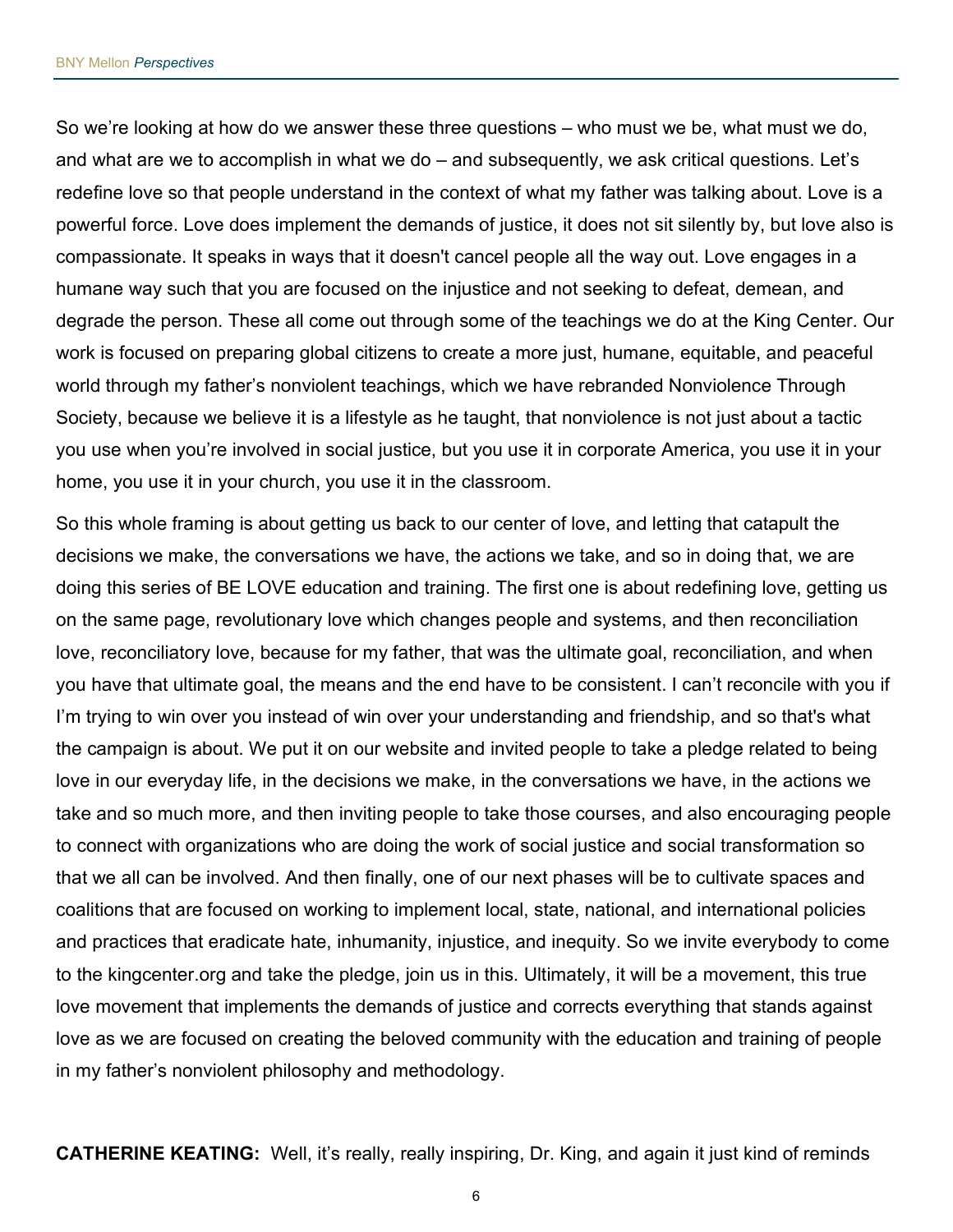So we're looking at how do we answer these three questions – who must we be, what must we do, and what are we to accomplish in what we do – and subsequently, we ask critical questions. Let's redefine love so that people understand in the context of what my father was talking about. Love is a powerful force. Love does implement the demands of justice, it does not sit silently by, but love also is compassionate. It speaks in ways that it doesn't cancel people all the way out. Love engages in a humane way such that you are focused on the injustice and not seeking to defeat, demean, and degrade the person. These all come out through some of the teachings we do at the King Center. Our work is focused on preparing global citizens to create a more just, humane, equitable, and peaceful world through my father's nonviolent teachings, which we have rebranded Nonviolence Through Society, because we believe it is a lifestyle as he taught, that nonviolence is not just about a tactic you use when you're involved in social justice, but you use it in corporate America, you use it in your home, you use it in your church, you use it in the classroom.

So this whole framing is about getting us back to our center of love, and letting that catapult the decisions we make, the conversations we have, the actions we take, and so in doing that, we are doing this series of BE LOVE education and training. The first one is about redefining love, getting us on the same page, revolutionary love which changes people and systems, and then reconciliation love, reconciliatory love, because for my father, that was the ultimate goal, reconciliation, and when you have that ultimate goal, the means and the end have to be consistent. I can't reconcile with you if I'm trying to win over you instead of win over your understanding and friendship, and so that's what the campaign is about. We put it on our website and invited people to take a pledge related to being love in our everyday life, in the decisions we make, in the conversations we have, in the actions we take and so much more, and then inviting people to take those courses, and also encouraging people to connect with organizations who are doing the work of social justice and social transformation so that we all can be involved. And then finally, one of our next phases will be to cultivate spaces and coalitions that are focused on working to implement local, state, national, and international policies and practices that eradicate hate, inhumanity, injustice, and inequity. So we invite everybody to come to the kingcenter.org and take the pledge, join us in this. Ultimately, it will be a movement, this true love movement that implements the demands of justice and corrects everything that stands against love as we are focused on creating the beloved community with the education and training of people in my father's nonviolent philosophy and methodology.

**CATHERINE KEATING:** Well, it's really, really inspiring, Dr. King, and again it just kind of reminds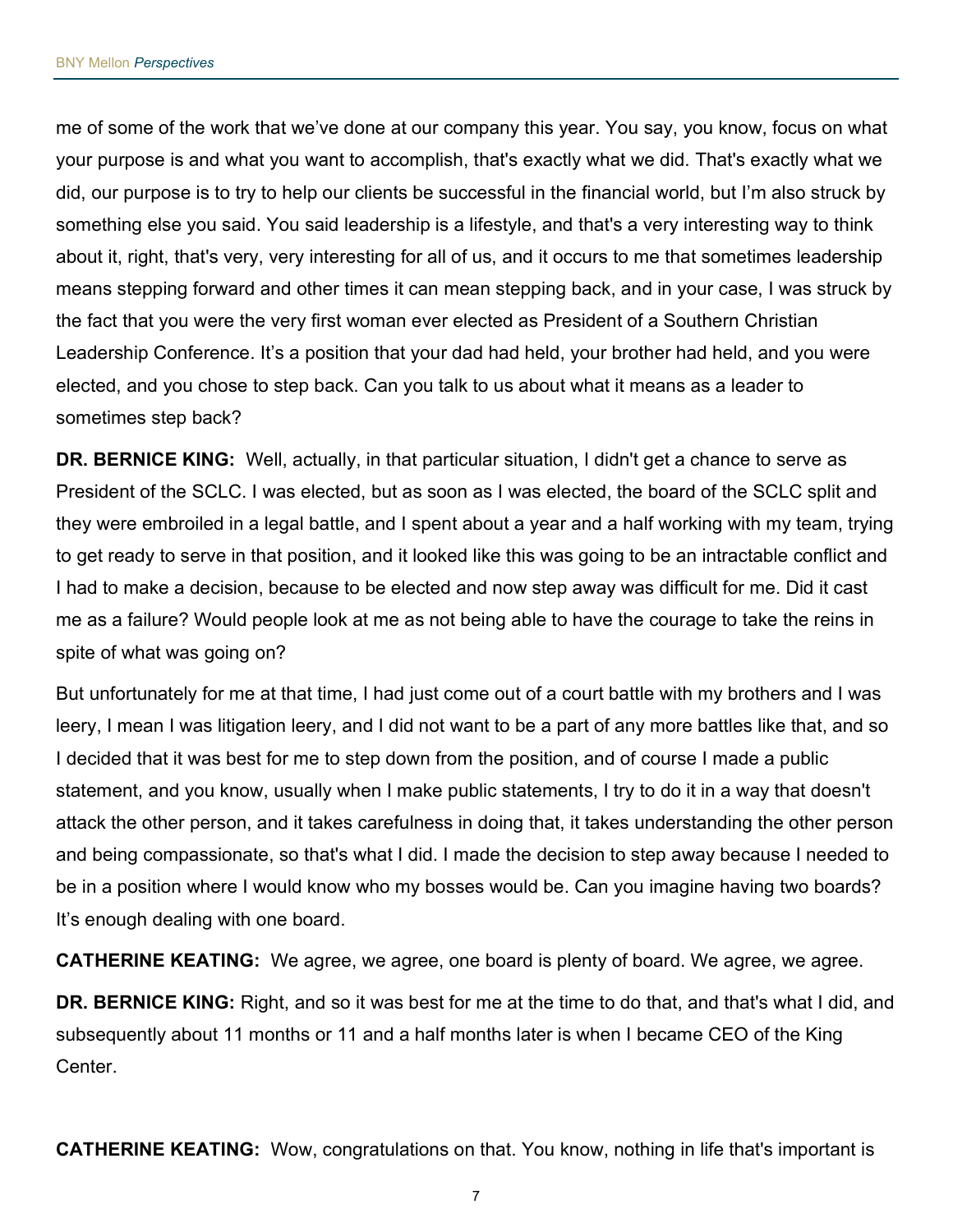me of some of the work that we've done at our company this year. You say, you know, focus on what your purpose is and what you want to accomplish, that's exactly what we did. That's exactly what we did, our purpose is to try to help our clients be successful in the financial world, but I'm also struck by something else you said. You said leadership is a lifestyle, and that's a very interesting way to think about it, right, that's very, very interesting for all of us, and it occurs to me that sometimes leadership means stepping forward and other times it can mean stepping back, and in your case, I was struck by the fact that you were the very first woman ever elected as President of a Southern Christian Leadership Conference. It's a position that your dad had held, your brother had held, and you were elected, and you chose to step back. Can you talk to us about what it means as a leader to sometimes step back?

DR. BERNICE KING: Well, actually, in that particular situation, I didn't get a chance to serve as President of the SCLC. I was elected, but as soon as I was elected, the board of the SCLC split and they were embroiled in a legal battle, and I spent about a year and a half working with my team, trying to get ready to serve in that position, and it looked like this was going to be an intractable conflict and I had to make a decision, because to be elected and now step away was difficult for me. Did it cast me as a failure? Would people look at me as not being able to have the courage to take the reins in spite of what was going on?

But unfortunately for me at that time, I had just come out of a court battle with my brothers and I was leery, I mean I was litigation leery, and I did not want to be a part of any more battles like that, and so I decided that it was best for me to step down from the position, and of course I made a public statement, and you know, usually when I make public statements, I try to do it in a way that doesn't attack the other person, and it takes carefulness in doing that, it takes understanding the other person and being compassionate, so that's what I did. I made the decision to step away because I needed to be in a position where I would know who my bosses would be. Can you imagine having two boards? It's enough dealing with one board.

CATHERINE KEATING: We agree, we agree, one board is plenty of board. We agree, we agree.

DR. BERNICE KING: Right, and so it was best for me at the time to do that, and that's what I did, and subsequently about 11 months or 11 and a half months later is when I became CEO of the King Center.

**CATHERINE KEATING:** Wow, congratulations on that. You know, nothing in life that's important is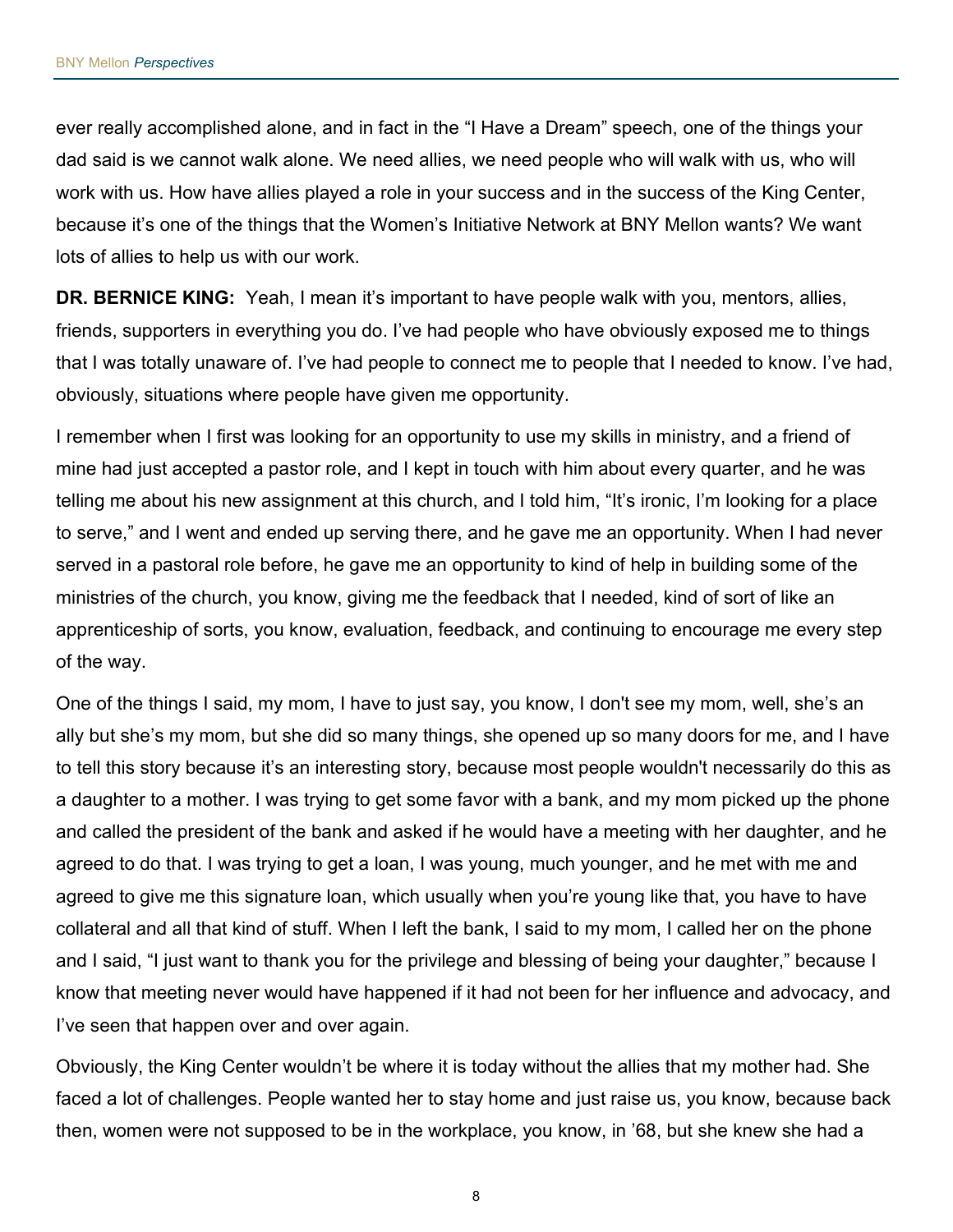ever really accomplished alone, and in fact in the "I Have a Dream" speech, one of the things your dad said is we cannot walk alone. We need allies, we need people who will walk with us, who will work with us. How have allies played a role in your success and in the success of the King Center, because it's one of the things that the Women's Initiative Network at BNY Mellon wants? We want lots of allies to help us with our work.

DR. BERNICE KING: Yeah, I mean it's important to have people walk with you, mentors, allies, friends, supporters in everything you do. I've had people who have obviously exposed me to things that I was totally unaware of. I've had people to connect me to people that I needed to know. I've had, obviously, situations where people have given me opportunity.

I remember when I first was looking for an opportunity to use my skills in ministry, and a friend of mine had just accepted a pastor role, and I kept in touch with him about every quarter, and he was telling me about his new assignment at this church, and I told him, "It's ironic, I'm looking for a place to serve," and I went and ended up serving there, and he gave me an opportunity. When I had never served in a pastoral role before, he gave me an opportunity to kind of help in building some of the ministries of the church, you know, giving me the feedback that I needed, kind of sort of like an apprenticeship of sorts, you know, evaluation, feedback, and continuing to encourage me every step of the way.

One of the things I said, my mom, I have to just say, you know, I don't see my mom, well, she's an ally but she's my mom, but she did so many things, she opened up so many doors for me, and I have to tell this story because it's an interesting story, because most people wouldn't necessarily do this as a daughter to a mother. I was trying to get some favor with a bank, and my mom picked up the phone and called the president of the bank and asked if he would have a meeting with her daughter, and he agreed to do that. I was trying to get a loan, I was young, much younger, and he met with me and agreed to give me this signature loan, which usually when you're young like that, you have to have collateral and all that kind of stuff. When I left the bank, I said to my mom, I called her on the phone and I said, "I just want to thank you for the privilege and blessing of being your daughter," because I know that meeting never would have happened if it had not been for her influence and advocacy, and I've seen that happen over and over again.

Obviously, the King Center wouldn't be where it is today without the allies that my mother had. She faced a lot of challenges. People wanted her to stay home and just raise us, you know, because back then, women were not supposed to be in the workplace, you know, in '68, but she knew she had a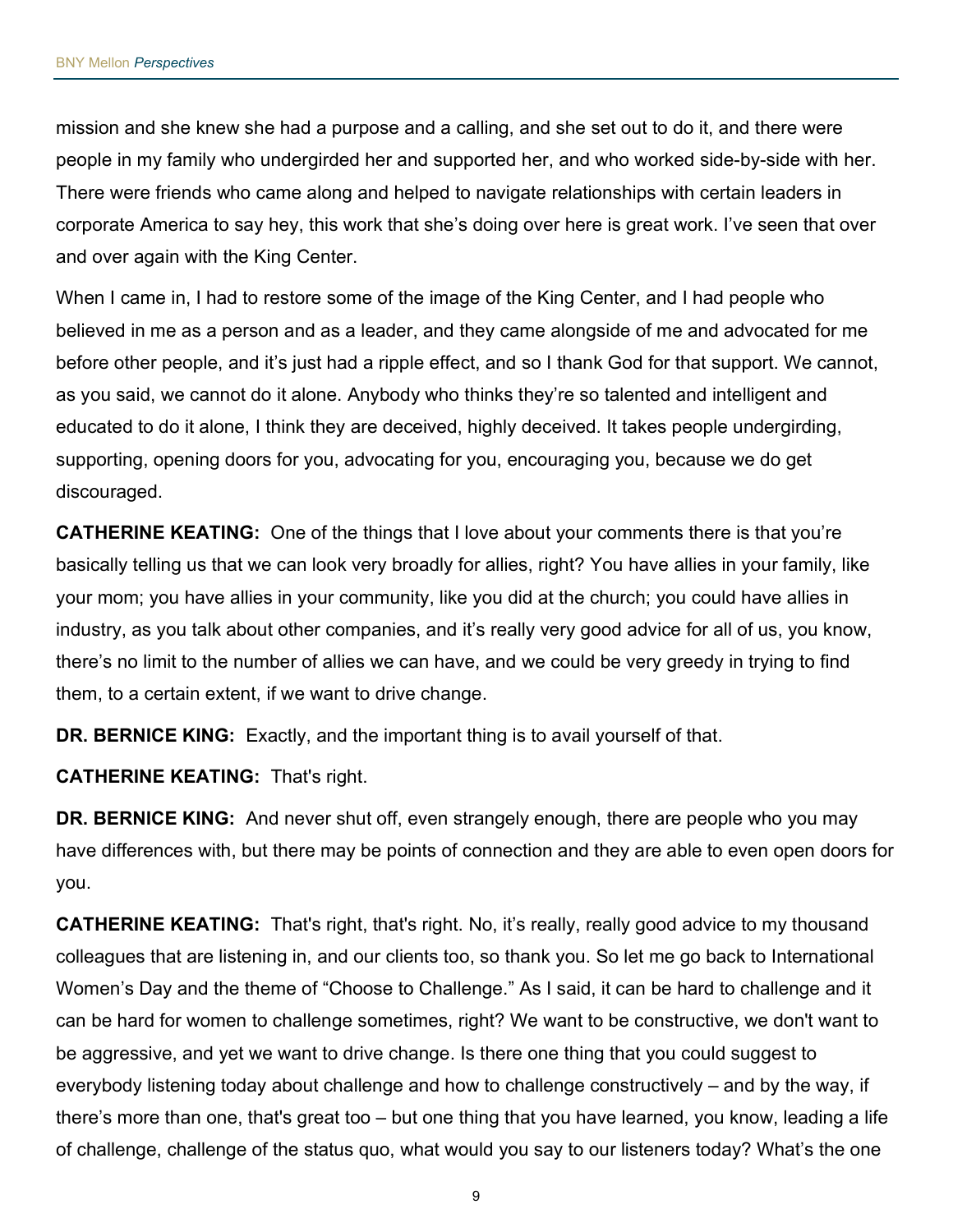mission and she knew she had a purpose and a calling, and she set out to do it, and there were people in my family who undergirded her and supported her, and who worked side-by-side with her. There were friends who came along and helped to navigate relationships with certain leaders in corporate America to say hey, this work that she's doing over here is great work. I've seen that over and over again with the King Center.

When I came in, I had to restore some of the image of the King Center, and I had people who believed in me as a person and as a leader, and they came alongside of me and advocated for me before other people, and it's just had a ripple effect, and so I thank God for that support. We cannot, as you said, we cannot do it alone. Anybody who thinks they're so talented and intelligent and educated to do it alone, I think they are deceived, highly deceived. It takes people undergirding, supporting, opening doors for you, advocating for you, encouraging you, because we do get discouraged.

CATHERINE KEATING: One of the things that I love about your comments there is that you're basically telling us that we can look very broadly for allies, right? You have allies in your family, like your mom; you have allies in your community, like you did at the church; you could have allies in industry, as you talk about other companies, and it's really very good advice for all of us, you know, there's no limit to the number of allies we can have, and we could be very greedy in trying to find them, to a certain extent, if we want to drive change.

DR. BERNICE KING: Exactly, and the important thing is to avail yourself of that.

CATHERINE KEATING: That's right.

DR. BERNICE KING: And never shut off, even strangely enough, there are people who you may have differences with, but there may be points of connection and they are able to even open doors for you.

CATHERINE KEATING: That's right, that's right. No, it's really, really good advice to my thousand colleagues that are listening in, and our clients too, so thank you. So let me go back to International Women's Day and the theme of "Choose to Challenge." As I said, it can be hard to challenge and it can be hard for women to challenge sometimes, right? We want to be constructive, we don't want to be aggressive, and yet we want to drive change. Is there one thing that you could suggest to everybody listening today about challenge and how to challenge constructively – and by the way, if there's more than one, that's great too – but one thing that you have learned, you know, leading a life of challenge, challenge of the status quo, what would you say to our listeners today? What's the one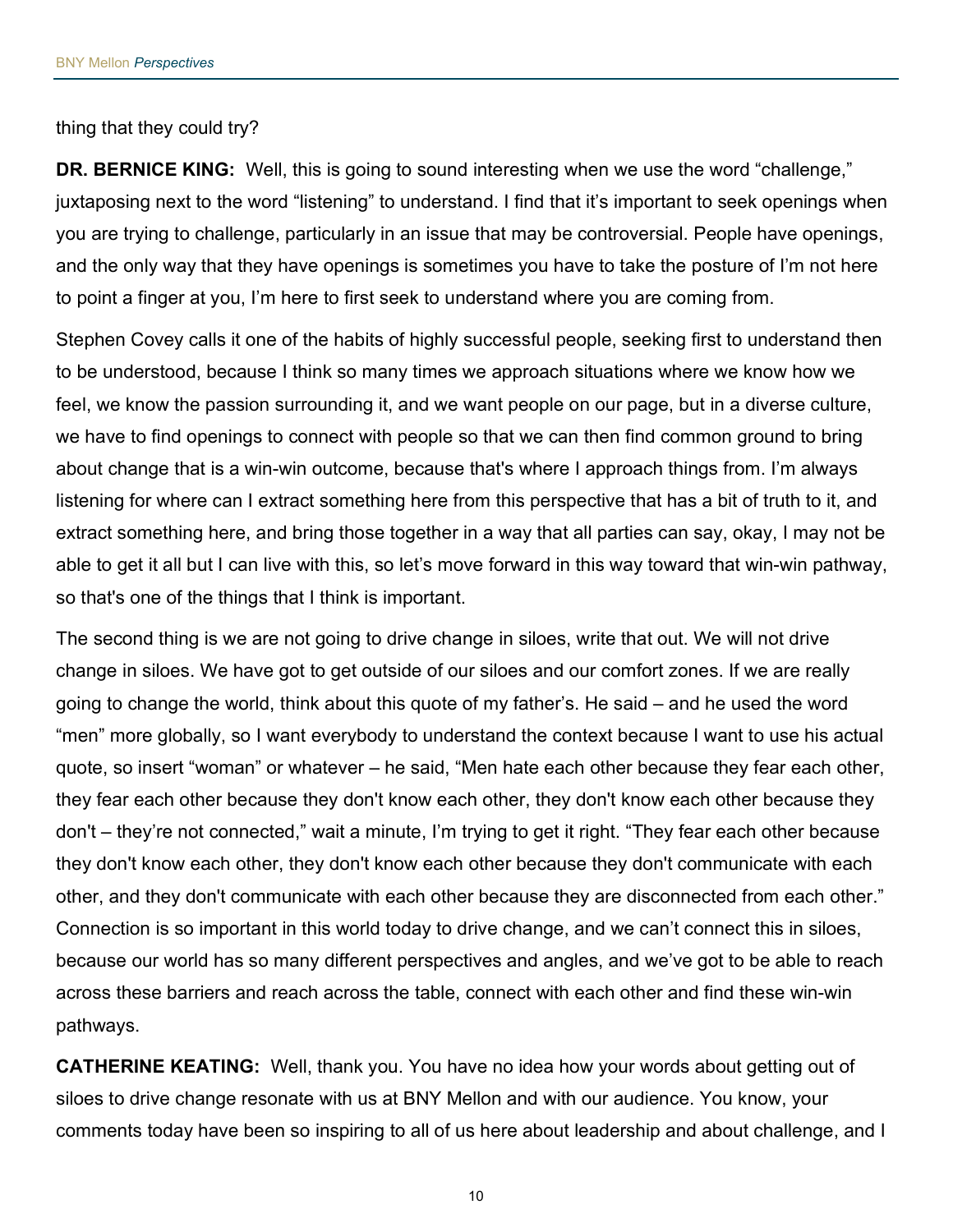thing that they could try?

DR. BERNICE KING: Well, this is going to sound interesting when we use the word "challenge," juxtaposing next to the word "listening" to understand. I find that it's important to seek openings when you are trying to challenge, particularly in an issue that may be controversial. People have openings, and the only way that they have openings is sometimes you have to take the posture of I'm not here to point a finger at you, I'm here to first seek to understand where you are coming from.

Stephen Covey calls it one of the habits of highly successful people, seeking first to understand then to be understood, because I think so many times we approach situations where we know how we feel, we know the passion surrounding it, and we want people on our page, but in a diverse culture, we have to find openings to connect with people so that we can then find common ground to bring about change that is a win-win outcome, because that's where I approach things from. I'm always listening for where can I extract something here from this perspective that has a bit of truth to it, and extract something here, and bring those together in a way that all parties can say, okay, I may not be able to get it all but I can live with this, so let's move forward in this way toward that win-win pathway, so that's one of the things that I think is important.

The second thing is we are not going to drive change in siloes, write that out. We will not drive change in siloes. We have got to get outside of our siloes and our comfort zones. If we are really going to change the world, think about this quote of my father's. He said – and he used the word "men" more globally, so I want everybody to understand the context because I want to use his actual quote, so insert "woman" or whatever – he said, "Men hate each other because they fear each other, they fear each other because they don't know each other, they don't know each other because they don't – they're not connected," wait a minute, I'm trying to get it right. "They fear each other because they don't know each other, they don't know each other because they don't communicate with each other, and they don't communicate with each other because they are disconnected from each other." Connection is so important in this world today to drive change, and we can't connect this in siloes, because our world has so many different perspectives and angles, and we've got to be able to reach across these barriers and reach across the table, connect with each other and find these win-win pathways.

CATHERINE KEATING: Well, thank you. You have no idea how your words about getting out of siloes to drive change resonate with us at BNY Mellon and with our audience. You know, your comments today have been so inspiring to all of us here about leadership and about challenge, and I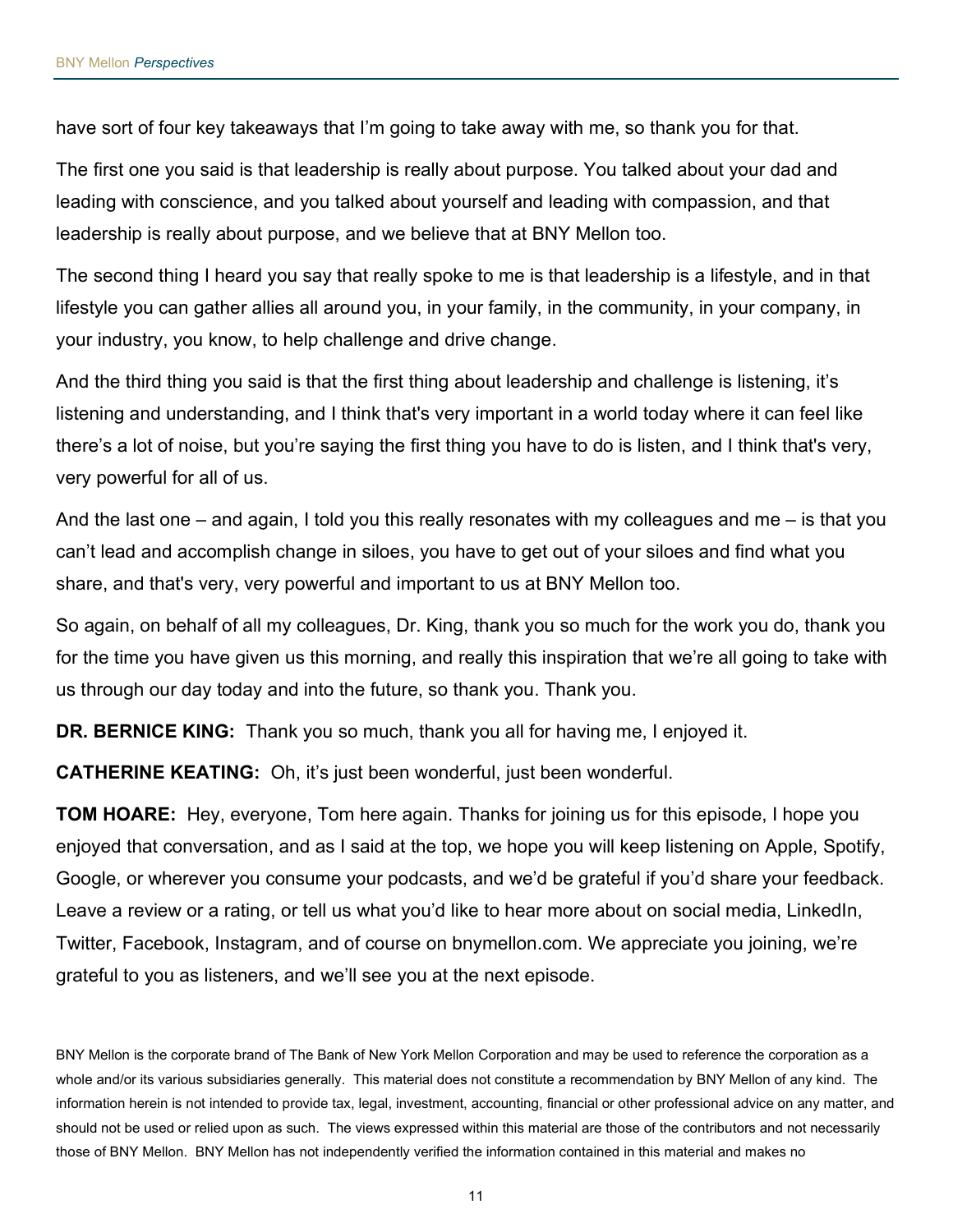have sort of four key takeaways that I'm going to take away with me, so thank you for that.

The first one you said is that leadership is really about purpose. You talked about your dad and leading with conscience, and you talked about yourself and leading with compassion, and that leadership is really about purpose, and we believe that at BNY Mellon too.

The second thing I heard you say that really spoke to me is that leadership is a lifestyle, and in that lifestyle you can gather allies all around you, in your family, in the community, in your company, in your industry, you know, to help challenge and drive change.

And the third thing you said is that the first thing about leadership and challenge is listening, it's listening and understanding, and I think that's very important in a world today where it can feel like there's a lot of noise, but you're saying the first thing you have to do is listen, and I think that's very, very powerful for all of us.

And the last one – and again, I told you this really resonates with my colleagues and me – is that you can't lead and accomplish change in siloes, you have to get out of your siloes and find what you share, and that's very, very powerful and important to us at BNY Mellon too.

So again, on behalf of all my colleagues, Dr. King, thank you so much for the work you do, thank you for the time you have given us this morning, and really this inspiration that we're all going to take with us through our day today and into the future, so thank you. Thank you.

DR. BERNICE KING: Thank you so much, thank you all for having me, I enjoyed it.

CATHERINE KEATING: Oh, it's just been wonderful, just been wonderful.

**TOM HOARE:** Hey, everyone, Tom here again. Thanks for joining us for this episode, I hope you enjoyed that conversation, and as I said at the top, we hope you will keep listening on Apple, Spotify, Google, or wherever you consume your podcasts, and we'd be grateful if you'd share your feedback. Leave a review or a rating, or tell us what you'd like to hear more about on social media, LinkedIn, Twitter, Facebook, Instagram, and of course on bnymellon.com. We appreciate you joining, we're grateful to you as listeners, and we'll see you at the next episode.

BNY Mellon is the corporate brand of The Bank of New York Mellon Corporation and may be used to reference the corporation as a whole and/or its various subsidiaries generally. This material does not constitute a recommendation by BNY Mellon of any kind. The information herein is not intended to provide tax, legal, investment, accounting, financial or other professional advice on any matter, and should not be used or relied upon as such. The views expressed within this material are those of the contributors and not necessarily those of BNY Mellon. BNY Mellon has not independently verified the information contained in this material and makes no